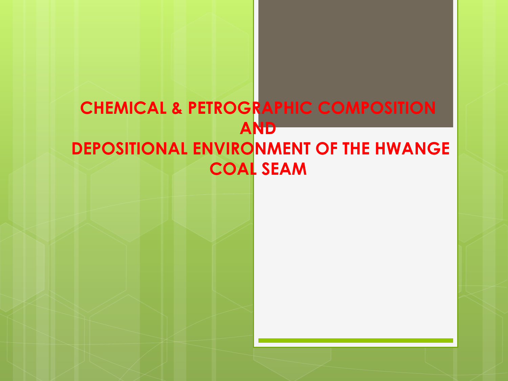### **CHEMICAL & PETROGRAPHIC COMPOSITION AND DEPOSITIONAL ENVIRONMENT OF THE HWANGE COAL SEAM**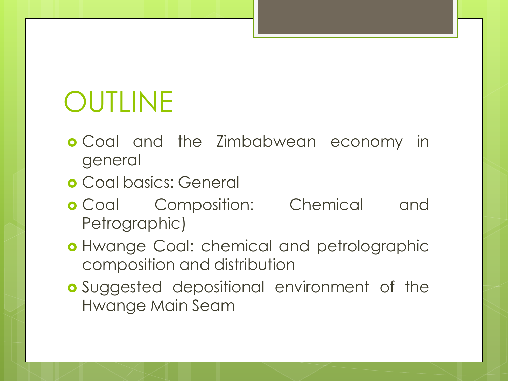# OUTLINE

- **o** Coal and the Zimbabwean economy in general
- Coal basics: General
- **o** Coal Composition: Chemical and Petrographic)
- **o** Hwange Coal: chemical and petrolographic composition and distribution
- **o** Suggested depositional environment of the Hwange Main Seam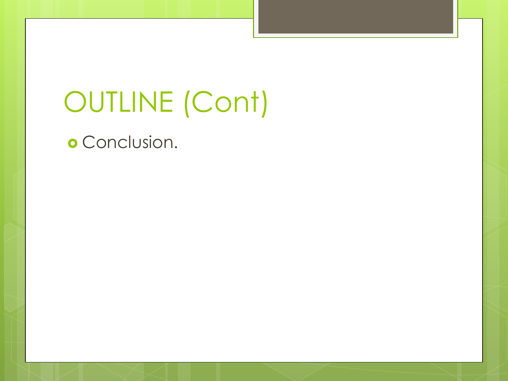# OUTLINE (Cont)

**o** Conclusion.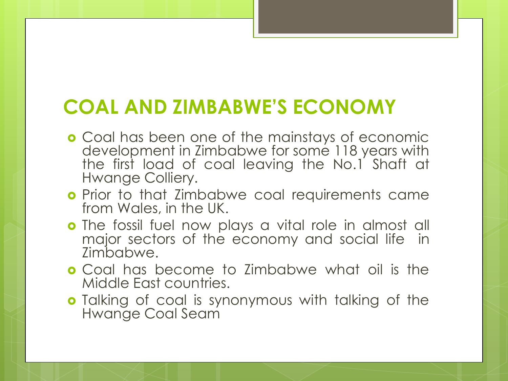### **COAL AND ZIMBABWE'S ECONOMY**

- **o** Coal has been one of the mainstays of economic development in Zimbabwe for some 118 years with the first load of coal leaving the No.1 Shaft at Hwange Colliery.
- **o** Prior to that Zimbabwe coal requirements came from Wales, in the UK.
- **o** The fossil fuel now plays a vital role in almost all major sectors of the economy and social life in Zimbabwe.
- **o** Coal has become to Zimbabwe what oil is the Middle East countries.
- **o** Talking of coal is synonymous with talking of the Hwange Coal Seam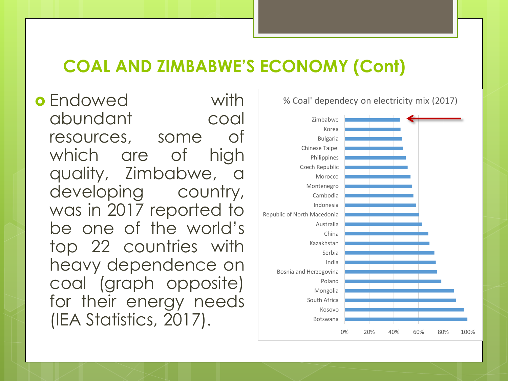### **COAL AND ZIMBABWE'S ECONOMY (Cont)**

**o** Endowed with abundant coal resources, some of which are of high quality, Zimbabwe, a developing country, was in 2017 reported to be one of the world's top 22 countries with heavy dependence on coal (graph opposite) for their energy needs (IEA Statistics, 2017).

% Coal' dependecy on electricity mix (2017)

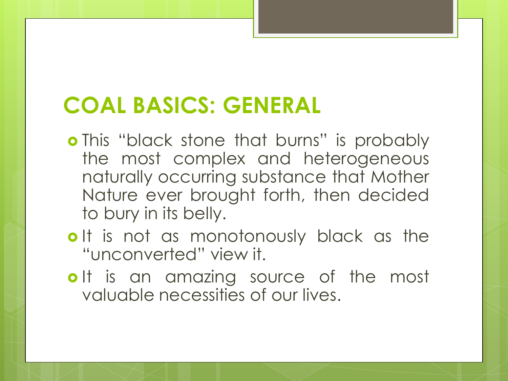## **COAL BASICS: GENERAL**

- o This "black stone that burns" is probably the most complex and heterogeneous naturally occurring substance that Mother Nature ever brought forth, then decided to bury in its belly.
- o It is not as monotonously black as the "unconverted" view it.
- olt is an amazing source of the most valuable necessities of our lives.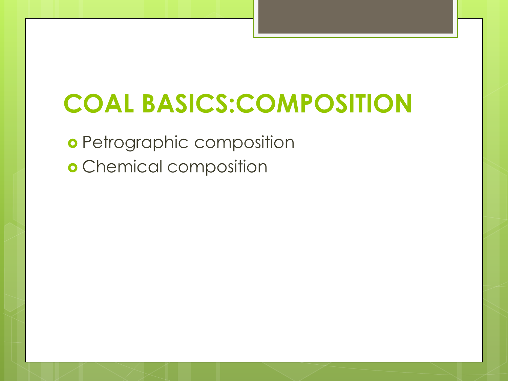# **COAL BASICS:COMPOSITION**

**o** Petrographic composition **o** Chemical composition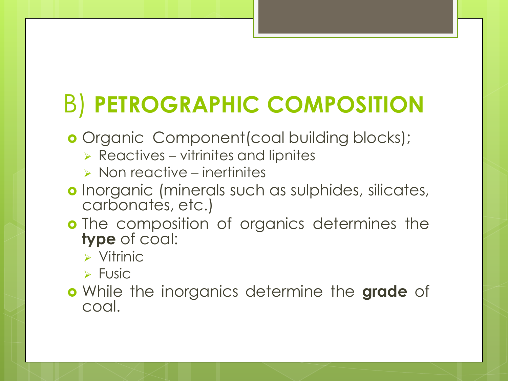## B) **PETROGRAPHIC COMPOSITION**

- **o** Organic Component (coal building blocks);
	- $\triangleright$  Reactives vitrinites and lipnites
	- $\triangleright$  Non reactive inertinites
- **o** Inorganic (minerals such as sulphides, silicates, carbonates, etc.)
- **o** The composition of organics determines the **type** of coal:
	- $\triangleright$  Vitrinic
	- $\triangleright$  Fusic
- While the inorganics determine the **grade** of coal.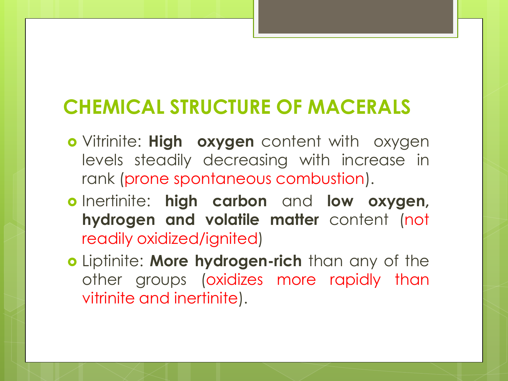### **CHEMICAL STRUCTURE OF MACERALS**

- Vitrinite: **High oxygen** content with oxygen levels steadily decreasing with increase in rank (prone spontaneous combustion).
- Inertinite: **high carbon** and **low oxygen, hydrogen and volatile matter** content (not readily oxidized/ignited)
- Liptinite: **More hydrogen-rich** than any of the other groups (oxidizes more rapidly than vitrinite and inertinite).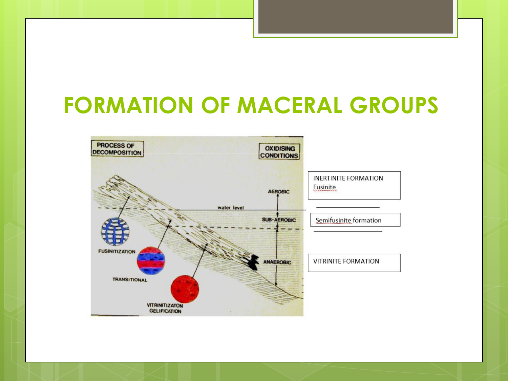### **FORMATION OF MACERAL GROUPS**

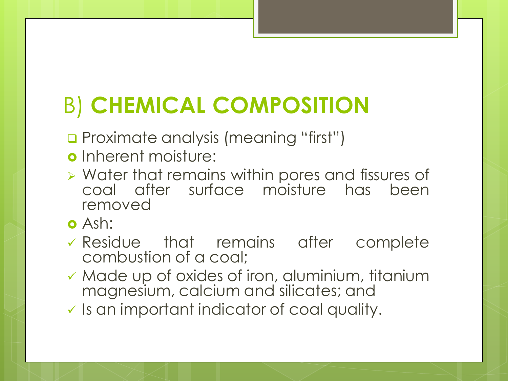## B) **CHEMICAL COMPOSITION**

- **Q** Proximate analysis (meaning "first")
- o Inherent moisture:
- Water that remains within pores and fissures of coal after surface moisture has been removed
- Ash:
- Residue that remains after complete combustion of a coal;
- Made up of oxides of iron, aluminium, titanium magnesium, calcium and silicates; and
- $\checkmark$  Is an important indicator of coal quality.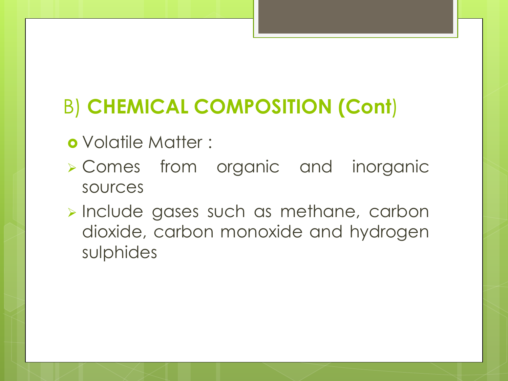### B) **CHEMICAL COMPOSITION (Cont**)

- Volatile Matter :
- Comes from organic and inorganic sources
- **Include gases such as methane, carbon** dioxide, carbon monoxide and hydrogen sulphides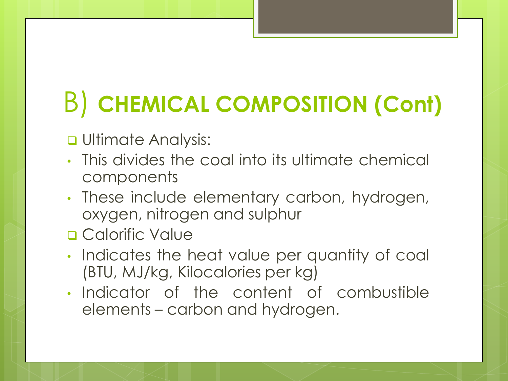# B) **CHEMICAL COMPOSITION (Cont)**

#### **<u>u</u>** Ultimate Analysis:

- This divides the coal into its ultimate chemical components
- These include elementary carbon, hydrogen, oxygen, nitrogen and sulphur
- **Q** Calorific Value
- Indicates the heat value per quantity of coal (BTU, MJ/kg, Kilocalories per kg)
- Indicator of the content of combustible elements – carbon and hydrogen.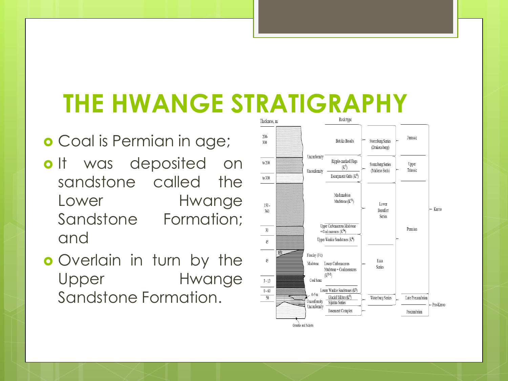## **THE HWANGE STRATIGRAPHY**

### **o** Coal is Permian in age;

- olt was deposited on sandstone called the Lower Hwange Sandstone Formation; and
- **o** Overlain in turn by the Upper Hwange Sandstone Formation.

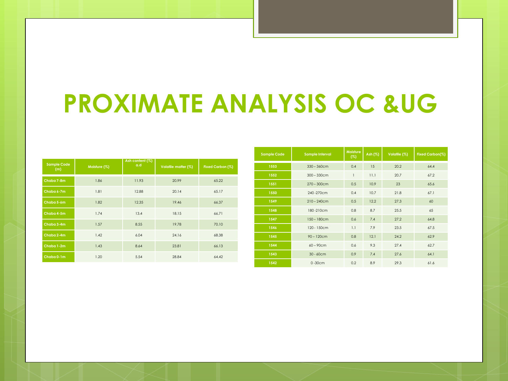## **PROXIMATE ANALYSIS OC &UG**

| <b>Sample Code</b><br>(m) | Moisture (%) | Ash content (%)<br>a.d | Volatile matter (%) | Fixed Carbon (%) |
|---------------------------|--------------|------------------------|---------------------|------------------|
| Chaba 7-8m                | 1.86         | 11.93                  | 20.99               | 65.22            |
| Chaba 6-7m                | 1.81         | 12.88                  | 20.14               | 65.17            |
| Chaba 5-6m                | 1.82         | 12.35                  | 19.46               | 66.37            |
| Chaba 4-5m                | 1.74         | 13.4                   | 18.15               | 66.71            |
| Chaba 3-4m                | 1.57         | 8.55                   | 19.78               | 70.10            |
| Chaba 2-4m                | 1.42         | 6.04                   | 24.16               | 68.38            |
| Chaba 1-2m                | 1.43         | 8.64                   | 23.81               | 66.13            |
| Chaba 0-1m                | 1.20         | 5.54                   | 28.84               | 64.42            |

| <b>Sample Code</b> | Sample Interval | <b>Moisture</b><br>(%) | Ash (%) | Volatile (%) | Fixed Carbon(%) |
|--------------------|-----------------|------------------------|---------|--------------|-----------------|
| 1553               | $330 - 360$ cm  | 0.4                    | 15      | 20.2         | 64.4            |
| 1552               | $300 - 330$ cm  | 1                      | 11.1    | 20.7         | 67.2            |
| 1551               | $270 - 300$ cm  | 0.5                    | 10.9    | 23           | 65.6            |
| 1550               | 240-270cm       | 0.4                    | 10.7    | 21.8         | 67.1            |
| 1549               | $210 - 240$ cm  | 0.5                    | 12.2    | 27.3         | 60              |
| 1548               | 180-210cm       | 0.8                    | 8.7     | 25.5         | 65              |
| 1547               | $150 - 180$ cm  | 0.6                    | 7.4     | 27.2         | 64.8            |
| 1546               | 120 - 150cm     | 1.1                    | 7.9     | 23.5         | 67.5            |
| 1545               | $90 - 120$ cm   | 0.8                    | 12.1    | 24.2         | 62.9            |
| 1544               | $60 - 90$ cm    | 0.6                    | 9.3     | 27.4         | 62.7            |
| 1543               | $30 - 60$ cm    | 0.9                    | 7.4     | 27.6         | 64.1            |
| 1542               | $0 - 30$ cm     | 0.2                    | 8.9     | 29.3         | 61.6            |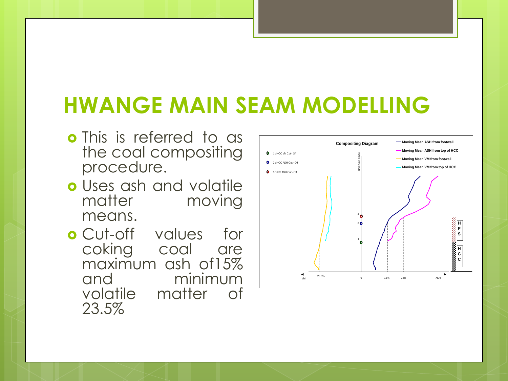## **HWANGE MAIN SEAM MODELLING**

- **o** This is referred to as the coal compositing procedure.
- Uses ash and volatile matter moving means.
- Cut-off values for coking coal are maximum ash of15% and minimum volatile matter of 23.5%

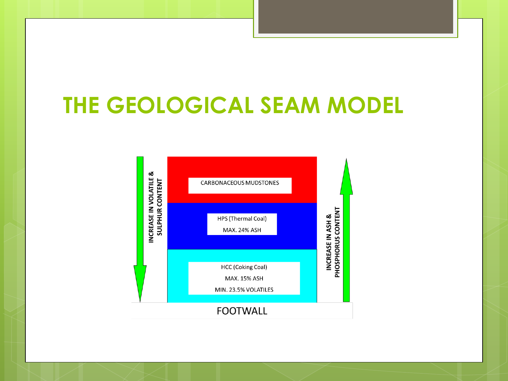### **THE GEOLOGICAL SEAM MODEL**

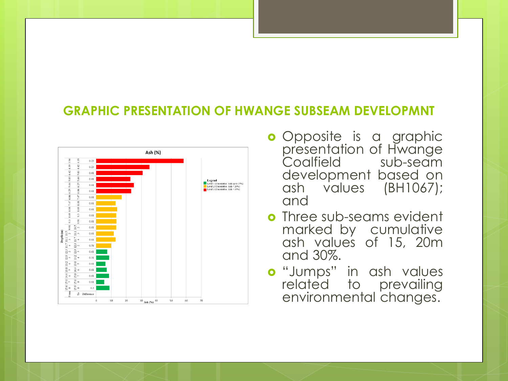#### **GRAPHIC PRESENTATION OF HWANGE SUBSEAM DEVELOPMNT**



- **o** Opposite is a graphic presentation of Hwange Coalfield sub-seam development based on ash values (BH1067); and
- **o** Three sub-seams evident marked by cumulative ash values of 15, 20m and 30%.
- o "Jumps" in ash values related to prevailing environmental changes.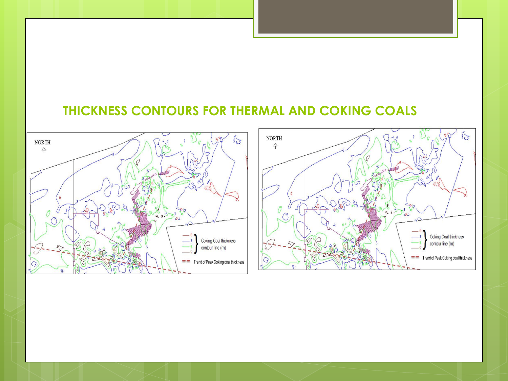#### **THICKNESS CONTOURS FOR THERMAL AND COKING COALS**



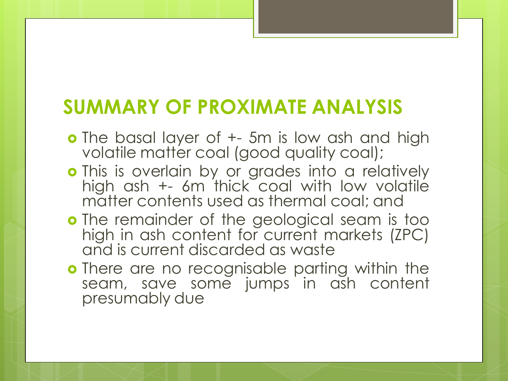### **SUMMARY OF PROXIMATE ANALYSIS**

- **o** The basal layer of  $+$  5m is low ash and high volatile matter coal (good quality coal);
- **o** This is overlain by or grades into a relatively high ash +- 6m thick coal with low volatile matter contents used as thermal coal; and
- o The remainder of the geological seam is too high in ash content for current markets (ZPC) and is current discarded as waste
- **o** There are no recognisable parting within the seam, save some jumps in ash content presumably due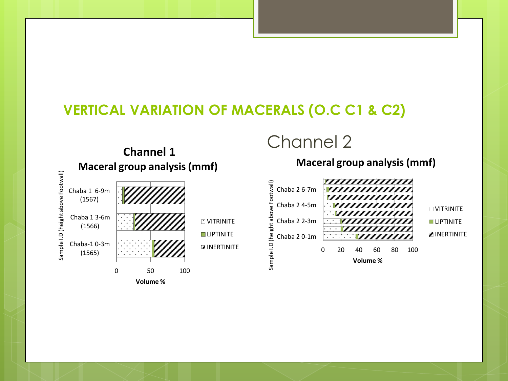#### **VERTICAL VARIATION OF MACERALS (O.C C1 & C2)**



Channel 2

**Channel 1**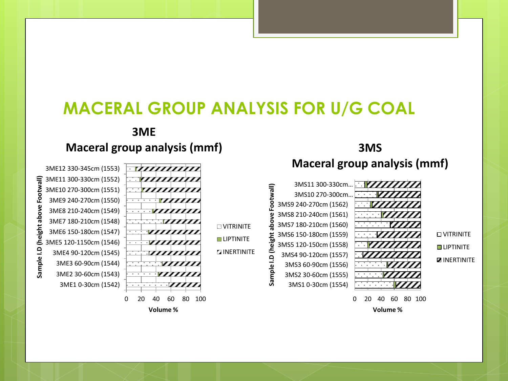#### **MACERAL GROUP ANALYSIS FOR U/G COAL**

#### **3ME Maceral group analysis (mmf)**

Footwall) **Sample I.D (height above Footwall)** sample I.D (height above



**3MS**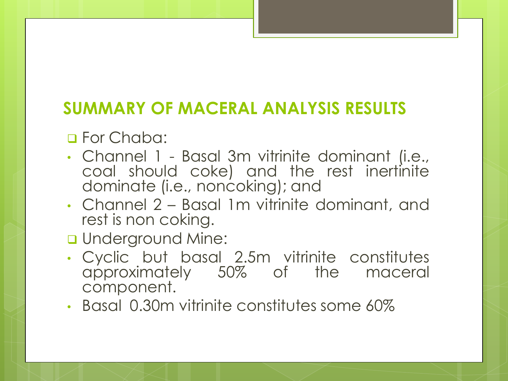### **SUMMARY OF MACERAL ANALYSIS RESULTS**

**D** For Chaba:

- Channel 1 Basal 3m vitrinite dominant (i.e., coal should coke) and the rest inertinite dominate (i.e., noncoking); and
- Channel 2 Basal 1m vitrinite dominant, and rest is non coking.
- **u** Underground Mine:
- Cyclic but basal 2.5m vitrinite constitutes approximately 50% of the maceral component.
- Basal 0.30m vitrinite constitutes some 60%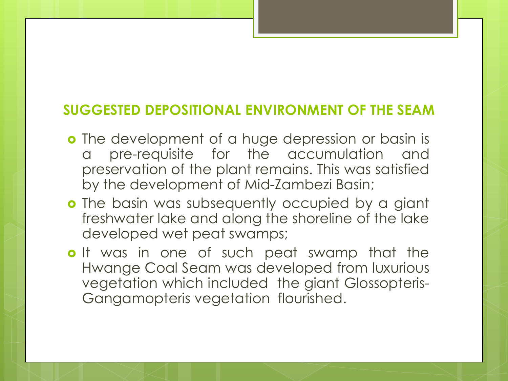#### **SUGGESTED DEPOSITIONAL ENVIRONMENT OF THE SEAM**

- o The development of a huge depression or basin is a pre-requisite for the accumulation and preservation of the plant remains. This was satisfied by the development of Mid-Zambezi Basin;
- **o** The basin was subsequently occupied by a giant freshwater lake and along the shoreline of the lake developed wet peat swamps;
- o It was in one of such peat swamp that the Hwange Coal Seam was developed from luxurious vegetation which included the giant Glossopteris-Gangamopteris vegetation flourished.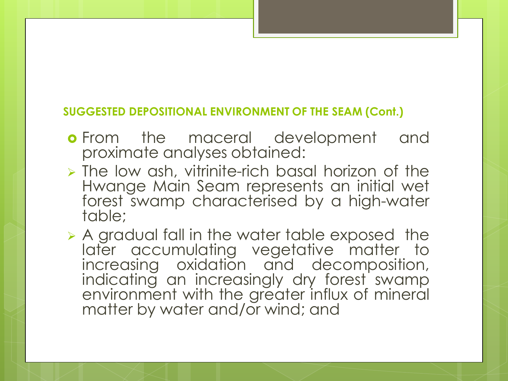#### **SUGGESTED DEPOSITIONAL ENVIRONMENT OF THE SEAM (Cont.)**

- **o** From the maceral development and proximate analyses obtained:
- The low ash, vitrinite-rich basal horizon of the Hwange Main Seam represents an initial wet forest swamp characterised by a high-water table;

 A gradual fall in the water table exposed the later accumulating vegetative matter to increasing oxidation and decomposition, indicating an increasingly dry forest swamp environment with the greater influx of mineral matter by water and/or wind; and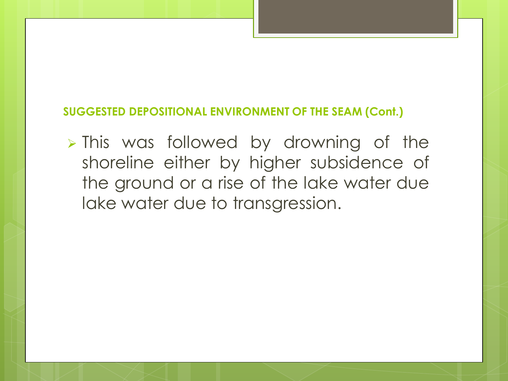#### **SUGGESTED DEPOSITIONAL ENVIRONMENT OF THE SEAM (Cont.)**

> This was followed by drowning of the shoreline either by higher subsidence of the ground or a rise of the lake water due lake water due to transgression.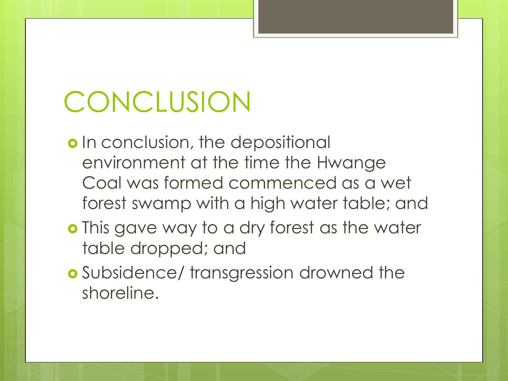# **CONCLUSION**

- o In conclusion, the depositional environment at the time the Hwange Coal was formed commenced as a wet forest swamp with a high water table; and
- **o** This gave way to a dry forest as the water table dropped; and
- **o** Subsidence/ transgression drowned the shoreline.